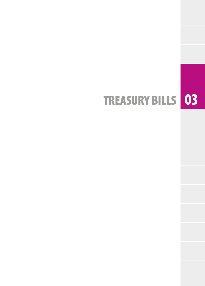## TREASURY BILLS 03